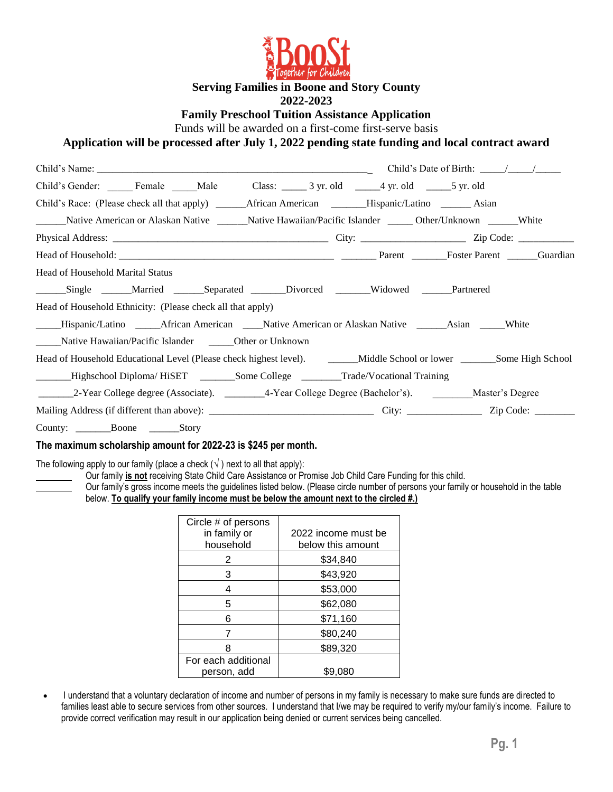

**Serving Families in Boone and Story County**

#### **2022-2023**

**Family Preschool Tuition Assistance Application**

Funds will be awarded on a first-come first-serve basis

**Application will be processed after July 1, 2022 pending state funding and local contract award**

| Child's Gender: Female Male Class: 3 yr. old 4 yr. old 5 yr. old 5 yr. old                                              |  |  |  |  |  |
|-------------------------------------------------------------------------------------------------------------------------|--|--|--|--|--|
|                                                                                                                         |  |  |  |  |  |
| Native American or Alaskan Native ________Native Hawaiian/Pacific Islander _______Other/Unknown _______White            |  |  |  |  |  |
|                                                                                                                         |  |  |  |  |  |
|                                                                                                                         |  |  |  |  |  |
| Head of Household Marital Status                                                                                        |  |  |  |  |  |
| _______Single _______Married ________Separated ________Divorced ________Widowed ______Partnered                         |  |  |  |  |  |
| Head of Household Ethnicity: (Please check all that apply)                                                              |  |  |  |  |  |
| _____Hispanic/Latino _______African American _____Native American or Alaskan Native _______Asian ______White            |  |  |  |  |  |
| Native Hawaiian/Pacific Islander Cher or Unknown                                                                        |  |  |  |  |  |
| Head of Household Educational Level (Please check highest level). _______Middle School or lower _______Some High School |  |  |  |  |  |
| ______Highschool Diploma/HiSET _______Some College _______Trade/Vocational Training                                     |  |  |  |  |  |
| 2-Year College degree (Associate). _________4-Year College Degree (Bachelor's). Master's Degree                         |  |  |  |  |  |
|                                                                                                                         |  |  |  |  |  |
| County: Boone Story                                                                                                     |  |  |  |  |  |

#### **The maximum scholarship amount for 2022-23 is \$245 per month.**

The following apply to our family (place a check  $(\sqrt)$ ) next to all that apply):

Our family **is not** receiving State Child Care Assistance or Promise Job Child Care Funding for this child.

Our family's gross income meets the guidelines listed below. (Please circle number of persons your family or household in the table below. **To qualify your family income must be below the amount next to the circled #.)**

| Circle # of persons<br>in family or<br>household | 2022 income must be<br>below this amount |
|--------------------------------------------------|------------------------------------------|
| 2                                                | \$34,840                                 |
| 3                                                | \$43,920                                 |
|                                                  | \$53,000                                 |
| 5                                                | \$62,080                                 |
| 6                                                | \$71,160                                 |
| 7                                                | \$80,240                                 |
| 8                                                | \$89,320                                 |
| For each additional<br>person, add               | \$9.080                                  |

• I understand that a voluntary declaration of income and number of persons in my family is necessary to make sure funds are directed to families least able to secure services from other sources. I understand that I/we may be required to verify my/our family's income. Failure to provide correct verification may result in our application being denied or current services being cancelled.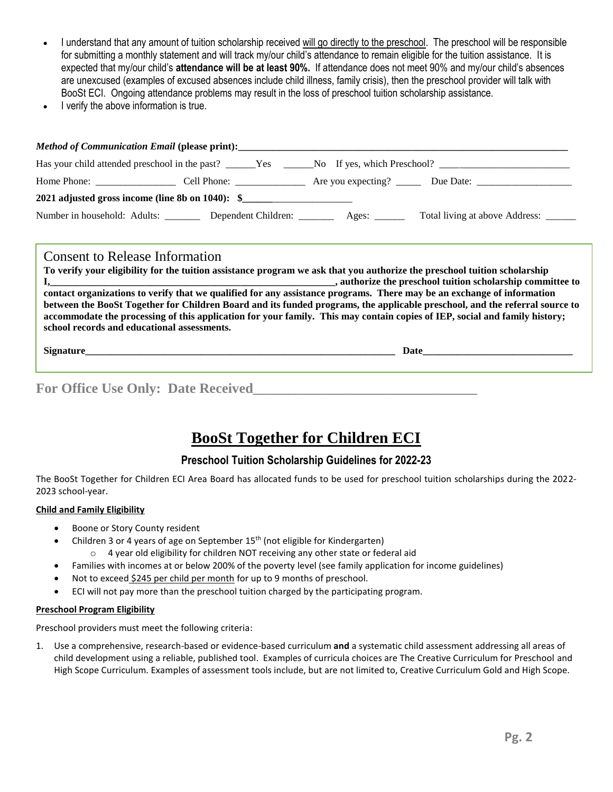- I understand that any amount of tuition scholarship received will go directly to the preschool. The preschool will be responsible for submitting a monthly statement and will track my/our child's attendance to remain eligible for the tuition assistance. It is expected that my/our child's **attendance will be at least 90%.** If attendance does not meet 90% and my/our child's absences are unexcused (examples of excused absences include child illness, family crisis), then the preschool provider will talk with BooSt ECI. Ongoing attendance problems may result in the loss of preschool tuition scholarship assistance.
- I verify the above information is true.

| Home Phone: $\frac{1}{\sqrt{1-\frac{1}{2}}}\frac{1}{\sqrt{1-\frac{1}{2}}}\frac{1}{\sqrt{1-\frac{1}{2}}}\frac{1}{\sqrt{1-\frac{1}{2}}}\frac{1}{\sqrt{1-\frac{1}{2}}}\frac{1}{\sqrt{1-\frac{1}{2}}}\frac{1}{\sqrt{1-\frac{1}{2}}}\frac{1}{\sqrt{1-\frac{1}{2}}}\frac{1}{\sqrt{1-\frac{1}{2}}}\frac{1}{\sqrt{1-\frac{1}{2}}}\frac{1}{\sqrt{1-\frac{1}{2}}}\frac{1}{\sqrt{1-\frac{1}{2}}}\frac{1}{\sqrt{1-\frac{1}{2}}$ | Cell Phone: $\sqrt{\frac{2}{1-\frac{1}{2}} \cdot \frac{2}{1-\frac{1}{2}} \cdot \frac{2}{1-\frac{1}{2}} \cdot \frac{2}{1-\frac{1}{2}}}$ | Are you expecting? $\_\_$ |                                      |
|---------------------------------------------------------------------------------------------------------------------------------------------------------------------------------------------------------------------------------------------------------------------------------------------------------------------------------------------------------------------------------------------------------------------|----------------------------------------------------------------------------------------------------------------------------------------|---------------------------|--------------------------------------|
| 2021 adjusted gross income (line 8b on 1040): \$                                                                                                                                                                                                                                                                                                                                                                    |                                                                                                                                        |                           |                                      |
| Number in household: Adults:                                                                                                                                                                                                                                                                                                                                                                                        | Dependent Children: _______                                                                                                            | Ages:                     | Total living at above Address: _____ |

## Consent to Release Information

**To verify your eligibility for the tuition assistance program we ask that you authorize the preschool tuition scholarship I,** authorize the preschool tuition scholarship committee to **contact organizations to verify that we qualified for any assistance programs. There may be an exchange of information between the BooSt Together for Children Board and its funded programs, the applicable preschool, and the referral source to accommodate the processing of this application for your family. This may contain copies of IEP, social and family history; school records and educational assessments.**

**Signature** 

For Office Use Only: Date Received

# **BooSt Together for Children ECI**

## **Preschool Tuition Scholarship Guidelines for 2022-23**

The BooSt Together for Children ECI Area Board has allocated funds to be used for preschool tuition scholarships during the 2022- 2023 school-year.

#### **Child and Family Eligibility**

- Boone or Story County resident
- Children 3 or 4 years of age on September 15<sup>th</sup> (not eligible for Kindergarten)
	- o 4 year old eligibility for children NOT receiving any other state or federal aid
- Families with incomes at or below 200% of the poverty level (see family application for income guidelines)
- Not to exceed \$245 per child per month for up to 9 months of preschool.
- ECI will not pay more than the preschool tuition charged by the participating program.

#### **Preschool Program Eligibility**

Preschool providers must meet the following criteria:

1. Use a comprehensive, research-based or evidence-based curriculum **and** a systematic child assessment addressing all areas of child development using a reliable, published tool. Examples of curricula choices are The Creative Curriculum for Preschool and High Scope Curriculum. Examples of assessment tools include, but are not limited to, Creative Curriculum Gold and High Scope.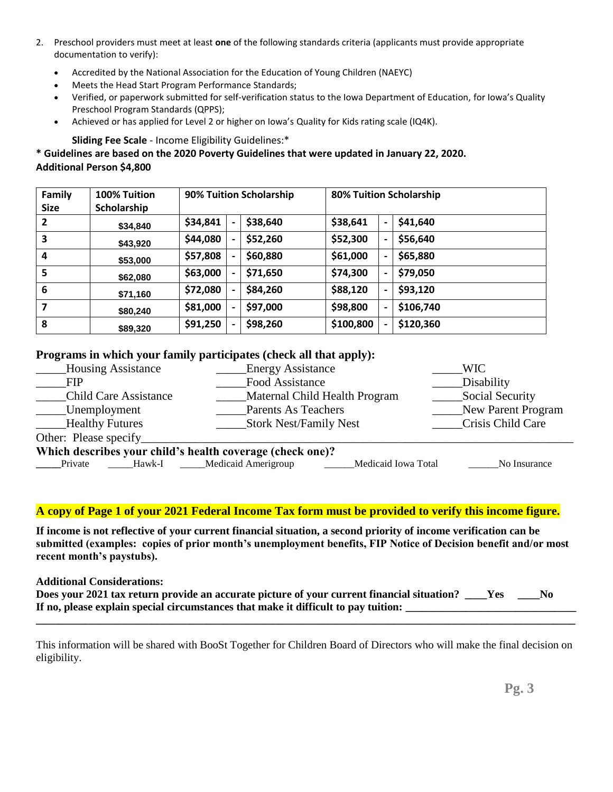- 2. Preschool providers must meet at least **one** of the following standards criteria (applicants must provide appropriate documentation to verify):
	- Accredited by the National Association for the Education of Young Children (NAEYC)
	- Meets the Head Start Program Performance Standards;
	- Verified, or paperwork submitted for self-verification status to the Iowa Department of Education, for Iowa's Quality Preschool Program Standards (QPPS);
	- Achieved or has applied for Level 2 or higher on Iowa's Quality for Kids rating scale (IQ4K).

**Sliding Fee Scale** - Income Eligibility Guidelines:\*

## **\* Guidelines are based on the 2020 Poverty Guidelines that were updated in January 22, 2020. Additional Person \$4,800**

| <b>Family</b><br><b>Size</b> | 100% Tuition<br>Scholarship |          | 90% Tuition Scholarship |           |                              | 80% Tuition Scholarship |
|------------------------------|-----------------------------|----------|-------------------------|-----------|------------------------------|-------------------------|
| 2                            | \$34,840                    | \$34,841 | \$38,640                | \$38,641  | $\overline{\phantom{0}}$     | \$41,640                |
| 3                            | \$43,920                    | \$44,080 | \$52,260                | \$52,300  | $\overline{\phantom{0}}$     | \$56,640                |
| 4                            | \$53,000                    | \$57,808 | \$60,880                | \$61,000  | $\overline{\phantom{0}}$     | \$65,880                |
| 5                            | \$62,080                    | \$63,000 | \$71,650                | \$74,300  | $\overline{\phantom{0}}$     | \$79,050                |
| 6                            | \$71,160                    | \$72,080 | \$84,260                | \$88,120  | $\overline{\phantom{0}}$     | \$93,120                |
|                              | \$80,240                    | \$81,000 | \$97,000                | \$98,800  | $\qquad \qquad \blacksquare$ | \$106,740               |
| 8                            | \$89,320                    | \$91,250 | \$98,260                | \$100,800 | $\qquad \qquad \blacksquare$ | \$120,360               |

## **Programs in which your family participates (check all that apply):**

| <b>Housing Assistance</b>                                 | <b>Energy Assistance</b>                          | <b>WIC</b>         |  |  |
|-----------------------------------------------------------|---------------------------------------------------|--------------------|--|--|
| <b>FIP</b>                                                | Food Assistance                                   | Disability         |  |  |
| <b>Child Care Assistance</b>                              | Maternal Child Health Program                     | Social Security    |  |  |
| _____Unemployment                                         | <b>Parents As Teachers</b>                        | New Parent Program |  |  |
| <b>Example Healthy Futures</b>                            | Stork Nest/Family Nest                            | Crisis Child Care  |  |  |
| Other: Please specify                                     |                                                   |                    |  |  |
| Which describes your child's health coverage (check one)? |                                                   |                    |  |  |
| Hawk-I<br>Private                                         | <b>Medicaid Amerigroup</b><br>Medicaid Iowa Total | No Insurance       |  |  |

## **A copy of Page 1 of your 2021 Federal Income Tax form must be provided to verify this income figure.**

**If income is not reflective of your current financial situation, a second priority of income verification can be submitted (examples: copies of prior month's unemployment benefits, FIP Notice of Decision benefit and/or most recent month's paystubs).**

### **Additional Considerations:**

| Does your 2021 tax return provide an accurate picture of your current financial situation? |  |
|--------------------------------------------------------------------------------------------|--|
| If no, please explain special circumstances that make it difficult to pay tuition:         |  |

This information will be shared with BooSt Together for Children Board of Directors who will make the final decision on eligibility.

**\_\_\_\_\_\_\_\_\_\_\_\_\_\_\_\_\_\_\_\_\_\_\_\_\_\_\_\_\_\_\_\_\_\_\_\_\_\_\_\_\_\_\_\_\_\_\_\_\_\_\_\_\_\_\_\_\_\_\_\_\_\_\_\_\_\_\_\_\_\_\_\_\_\_\_\_\_\_\_\_\_\_\_\_\_\_\_\_\_\_\_\_\_\_\_\_\_\_**